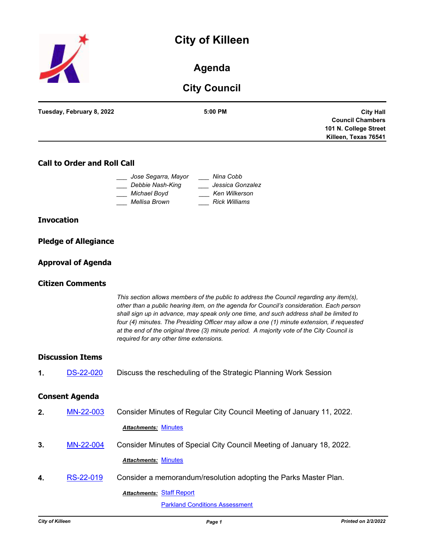



# **Agenda**

# **City Council**

| Tuesday, February 8, 2022 | 5:00 PM | <b>City Hall</b>        |
|---------------------------|---------|-------------------------|
|                           |         | <b>Council Chambers</b> |
|                           |         | 101 N. College Street   |
|                           |         | Killeen, Texas 76541    |
|                           |         |                         |

## **Call to Order and Roll Call**

| Jose Segarra, Mayor | Nina Cobb            |
|---------------------|----------------------|
| Debbie Nash-King    | Jessica Gonzalez     |
| Michael Boyd        | Ken Wilkerson        |
| Mellisa Brown       | <b>Rick Williams</b> |

### **Invocation**

| <b>Pledge of Allegiance</b> |  |  |
|-----------------------------|--|--|
|                             |  |  |

### **Approval of Agenda**

## **Citizen Comments**

*This section allows members of the public to address the Council regarding any item(s), other than a public hearing item, on the agenda for Council's consideration. Each person shall sign up in advance, may speak only one time, and such address shall be limited to four (4) minutes. The Presiding Officer may allow a one (1) minute extension, if requested at the end of the original three (3) minute period. A majority vote of the City Council is required for any other time extensions.*

### **Discussion Items**

**1.** [DS-22-020](http://killeen.legistar.com/gateway.aspx?m=l&id=/matter.aspx?key=5973) Discuss the rescheduling of the Strategic Planning Work Session

### **Consent Agenda**

| 2. | MN-22-003 | Consider Minutes of Regular City Council Meeting of January 11, 2022. |
|----|-----------|-----------------------------------------------------------------------|
|    |           | <b>Attachments: Minutes</b>                                           |
| 3. | MN-22-004 | Consider Minutes of Special City Council Meeting of January 18, 2022. |
|    |           | <b>Attachments: Minutes</b>                                           |
| 4. | RS-22-019 | Consider a memorandum/resolution adopting the Parks Master Plan.      |
|    |           | <b>Attachments: Staff Report</b>                                      |
|    |           | <b>Parkland Conditions Assessment</b>                                 |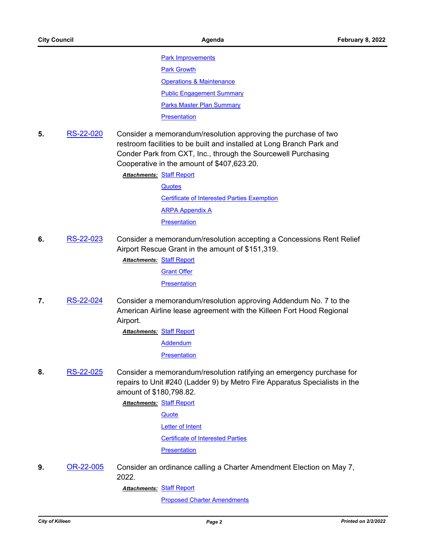**[Park Improvements](http://killeen.legistar.com/gateway.aspx?M=F&ID=d06071fd-59ba-4bd8-9504-f08fba02fe84.pdf)** [Park Growth](http://killeen.legistar.com/gateway.aspx?M=F&ID=66674180-bb4d-4eb9-bb4f-e8b79a48297d.pdf) [Operations & Maintenance](http://killeen.legistar.com/gateway.aspx?M=F&ID=a1319c2f-07c9-4228-a6ce-9f2907a7dae4.pdf) [Public Engagement Summary](http://killeen.legistar.com/gateway.aspx?M=F&ID=7f180908-53f1-4aff-815a-968b84b9476d.pdf) [Parks Master Plan Summary](http://killeen.legistar.com/gateway.aspx?M=F&ID=73ced9ee-ce81-414c-bbba-a699d4117c48.pdf) **[Presentation](http://killeen.legistar.com/gateway.aspx?M=F&ID=216cae5c-b7cf-45e6-8dc3-22d2fe09ad6d.pdf)** 

**5.** [RS-22-020](http://killeen.legistar.com/gateway.aspx?m=l&id=/matter.aspx?key=5937) Consider a memorandum/resolution approving the purchase of two restroom facilities to be built and installed at Long Branch Park and Conder Park from CXT, Inc., through the Sourcewell Purchasing Cooperative in the amount of \$407,623.20.

> **Attachments: [Staff Report](http://killeen.legistar.com/gateway.aspx?M=F&ID=4d571b2e-4310-4aa9-9181-15bcd362f59a.pdf) [Quotes](http://killeen.legistar.com/gateway.aspx?M=F&ID=70219672-9362-4006-a60f-a0a7aa0ca422.pdf)** [Certificate of Interested Parties Exemption](http://killeen.legistar.com/gateway.aspx?M=F&ID=c55dad8f-8852-4ed8-83b5-420f449e3601.pdf) [ARPA Appendix A](http://killeen.legistar.com/gateway.aspx?M=F&ID=83fc5d94-d768-4aca-a3f8-af10f82851c7.pdf) **[Presentation](http://killeen.legistar.com/gateway.aspx?M=F&ID=0edabe9d-9883-4d72-a4af-ed548269c1a1.pdf)**

**6.** [RS-22-023](http://killeen.legistar.com/gateway.aspx?m=l&id=/matter.aspx?key=5934) Consider a memorandum/resolution accepting a Concessions Rent Relief Airport Rescue Grant in the amount of \$151,319.

**Attachments: [Staff Report](http://killeen.legistar.com/gateway.aspx?M=F&ID=01733ce0-3952-4dbc-aa22-6f303e4c19c4.pdf)** [Grant Offer](http://killeen.legistar.com/gateway.aspx?M=F&ID=ab5f175c-b818-4627-8149-bdbec9ad0cf5.pdf) **[Presentation](http://killeen.legistar.com/gateway.aspx?M=F&ID=5d6dc9aa-2845-4062-8ce1-98c44d247c53.pdf)** 

**7.** [RS-22-024](http://killeen.legistar.com/gateway.aspx?m=l&id=/matter.aspx?key=5936) Consider a memorandum/resolution approving Addendum No. 7 to the American Airline lease agreement with the Killeen Fort Hood Regional Airport.

> **Attachments: [Staff Report](http://killeen.legistar.com/gateway.aspx?M=F&ID=777171c1-e29a-4f88-b491-7218d5342242.pdf)** [Addendum](http://killeen.legistar.com/gateway.aspx?M=F&ID=709e5eb3-2d4d-4ed8-9794-0b09ebdc1e8a.pdf) **[Presentation](http://killeen.legistar.com/gateway.aspx?M=F&ID=5c2ca087-6d9b-4b1a-8fe6-a98762d36bb8.pdf)**

**8.** [RS-22-025](http://killeen.legistar.com/gateway.aspx?m=l&id=/matter.aspx?key=5939) Consider a memorandum/resolution ratifying an emergency purchase for repairs to Unit #240 (Ladder 9) by Metro Fire Apparatus Specialists in the amount of \$180,798.82.

> **Attachments: [Staff Report](http://killeen.legistar.com/gateway.aspx?M=F&ID=17b5ce42-4ab8-4db4-9b2b-e814c02744ce.pdf) [Quote](http://killeen.legistar.com/gateway.aspx?M=F&ID=2db9ffb6-e8f8-4227-839d-2e7593f4b630.pdf)**

[Letter of Intent](http://killeen.legistar.com/gateway.aspx?M=F&ID=9ebd2ad9-9fe3-4003-b59f-8a15fc90dcca.pdf)

[Certificate of Interested Parties](http://killeen.legistar.com/gateway.aspx?M=F&ID=36088979-290b-4ee8-a8e2-1e9ba39284ec.pdf)

**[Presentation](http://killeen.legistar.com/gateway.aspx?M=F&ID=95e84b76-866f-44f4-84f2-0c607d241dac.pdf)** 

**9.** [OR-22-005](http://killeen.legistar.com/gateway.aspx?m=l&id=/matter.aspx?key=5945) Consider an ordinance calling a Charter Amendment Election on May 7, 2022.

[Staff Report](http://killeen.legistar.com/gateway.aspx?M=F&ID=a8c94561-1848-4e72-909c-87f56f5008e1.pdf) *Attachments:*

**[Proposed Charter Amendments](http://killeen.legistar.com/gateway.aspx?M=F&ID=15aad874-461a-4206-8041-6e845fb034e4.pdf)**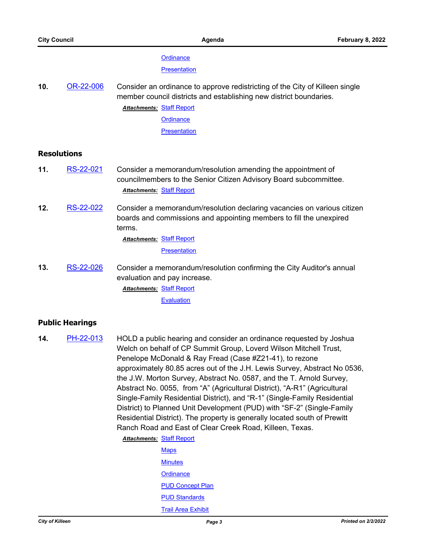#### **[Ordinance](http://killeen.legistar.com/gateway.aspx?M=F&ID=d8c12fdb-148b-4b6a-92e8-9f94155b7f83.pdf)**

**[Presentation](http://killeen.legistar.com/gateway.aspx?M=F&ID=a22e9010-7363-47a7-a20b-0022260d6b57.pdf)** 

**10.** [OR-22-006](http://killeen.legistar.com/gateway.aspx?m=l&id=/matter.aspx?key=5958) Consider an ordinance to approve redistricting of the City of Killeen single member council districts and establishing new district boundaries.

**Attachments: [Staff Report](http://killeen.legistar.com/gateway.aspx?M=F&ID=6fcc13e2-3ebc-4d45-ba52-2f0bc36a13dc.pdf)** 

**[Ordinance](http://killeen.legistar.com/gateway.aspx?M=F&ID=34d28138-58d7-4fa7-9b35-00ecbe56cba2.pdf)** 

**[Presentation](http://killeen.legistar.com/gateway.aspx?M=F&ID=eea65104-2072-475a-b82b-ed9a745c8a11.pdf)** 

## **Resolutions**

- **11.** [RS-22-021](http://killeen.legistar.com/gateway.aspx?m=l&id=/matter.aspx?key=5965) Consider a memorandum/resolution amending the appointment of councilmembers to the Senior Citizen Advisory Board subcommittee. *Attachments:* [Staff Report](http://killeen.legistar.com/gateway.aspx?M=F&ID=39292e40-7ec3-4ceb-b65b-25e8cf6be4fe.pdf)
- **12.** [RS-22-022](http://killeen.legistar.com/gateway.aspx?m=l&id=/matter.aspx?key=5931) Consider a memorandum/resolution declaring vacancies on various citizen boards and commissions and appointing members to fill the unexpired terms.

**Attachments: [Staff Report](http://killeen.legistar.com/gateway.aspx?M=F&ID=df5b33af-fa64-4fd4-9c2b-f5f15de5bcab.pdf)** 

**[Presentation](http://killeen.legistar.com/gateway.aspx?M=F&ID=f32e9707-7f93-4c14-9927-b5bfa6f98e70.pdf)** 

**13.** [RS-22-026](http://killeen.legistar.com/gateway.aspx?m=l&id=/matter.aspx?key=5930) Consider a memorandum/resolution confirming the City Auditor's annual evaluation and pay increase.

> **Attachments: [Staff Report](http://killeen.legistar.com/gateway.aspx?M=F&ID=fa1a77a0-cd86-4448-b18c-70fd4a763023.pdf) [Evaluation](http://killeen.legistar.com/gateway.aspx?M=F&ID=76e08e47-e2df-4f62-913b-7b761ccebfa6.pdf)**

### **Public Hearings**

**14.** [PH-22-013](http://killeen.legistar.com/gateway.aspx?m=l&id=/matter.aspx?key=5882) HOLD a public hearing and consider an ordinance requested by Joshua Welch on behalf of CP Summit Group, Loverd Wilson Mitchell Trust, Penelope McDonald & Ray Fread (Case #Z21-41), to rezone approximately 80.85 acres out of the J.H. Lewis Survey, Abstract No 0536, the J.W. Morton Survey, Abstract No. 0587, and the T. Arnold Survey, Abstract No. 0055, from "A" (Agricultural District), "A-R1" (Agricultural Single-Family Residential District), and "R-1" (Single-Family Residential District) to Planned Unit Development (PUD) with "SF-2" (Single-Family Residential District). The property is generally located south of Prewitt Ranch Road and East of Clear Creek Road, Killeen, Texas.

**Attachments: [Staff Report](http://killeen.legistar.com/gateway.aspx?M=F&ID=cc5b5b20-446a-4079-89e8-eec87e77e1c7.pdf)** 

| <b>Maps</b>               |
|---------------------------|
| <b>Minutes</b>            |
| Ordinance                 |
| <b>PUD Concept Plan</b>   |
| <b>PUD Standards</b>      |
| <b>Trail Area Exhibit</b> |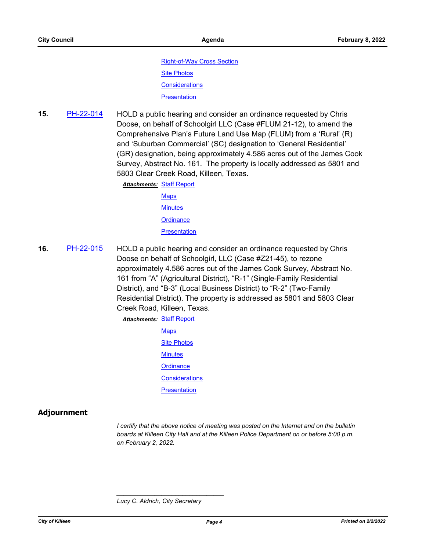[Right-of-Way Cross Section](http://killeen.legistar.com/gateway.aspx?M=F&ID=3506e061-2db9-4ef3-a0fb-929bcd7579a8.pdf) [Site Photos](http://killeen.legistar.com/gateway.aspx?M=F&ID=dc5aea95-d167-42b0-8ddd-152464c84ff8.pdf) **[Considerations](http://killeen.legistar.com/gateway.aspx?M=F&ID=cc59f48e-473d-4296-a63b-ff7ec615b5a9.pdf) [Presentation](http://killeen.legistar.com/gateway.aspx?M=F&ID=4926ab8c-68b8-4eb6-b4bf-2f9c756aa3a2.pdf)** 

**15.** [PH-22-014](http://killeen.legistar.com/gateway.aspx?m=l&id=/matter.aspx?key=5902) HOLD a public hearing and consider an ordinance requested by Chris Doose, on behalf of Schoolgirl LLC (Case #FLUM 21-12), to amend the Comprehensive Plan's Future Land Use Map (FLUM) from a 'Rural' (R) and 'Suburban Commercial' (SC) designation to 'General Residential' (GR) designation, being approximately 4.586 acres out of the James Cook Survey, Abstract No. 161. The property is locally addressed as 5801 and 5803 Clear Creek Road, Killeen, Texas.

> **Attachments: [Staff Report](http://killeen.legistar.com/gateway.aspx?M=F&ID=424e7066-9b1c-4883-9115-694d1474c18f.pdf)** [Maps](http://killeen.legistar.com/gateway.aspx?M=F&ID=7d953e59-c946-45a3-a368-aa920a6dd374.pdf) **[Minutes](http://killeen.legistar.com/gateway.aspx?M=F&ID=ac8b48c1-04b5-41f5-bef8-9af42135f674.pdf) [Ordinance](http://killeen.legistar.com/gateway.aspx?M=F&ID=f5190498-b6f6-485c-8948-7ffdc90286ad.pdf) [Presentation](http://killeen.legistar.com/gateway.aspx?M=F&ID=3012c268-36b6-492f-ad23-b8c28497351d.pdf)**

**16.** [PH-22-015](http://killeen.legistar.com/gateway.aspx?m=l&id=/matter.aspx?key=5903) HOLD a public hearing and consider an ordinance requested by Chris Doose on behalf of Schoolgirl, LLC (Case #Z21-45), to rezone approximately 4.586 acres out of the James Cook Survey, Abstract No. 161 from "A" (Agricultural District), "R-1" (Single-Family Residential District), and "B-3" (Local Business District) to "R-2" (Two-Family Residential District). The property is addressed as 5801 and 5803 Clear Creek Road, Killeen, Texas.

# **Attachments: [Staff Report](http://killeen.legistar.com/gateway.aspx?M=F&ID=20cb2a28-43e7-44ad-89d6-c1b9fffe09c7.pdf) [Maps](http://killeen.legistar.com/gateway.aspx?M=F&ID=2e7b77ce-8355-4aa0-b347-db90872251c7.pdf)** [Site Photos](http://killeen.legistar.com/gateway.aspx?M=F&ID=9445ca94-23ff-4dac-9d8e-0b7005694bba.pdf) **[Minutes](http://killeen.legistar.com/gateway.aspx?M=F&ID=2c5d8ee5-0345-42e2-8920-736bc75754dd.pdf) [Ordinance](http://killeen.legistar.com/gateway.aspx?M=F&ID=6db676c4-d08a-4080-bd6c-1feaee8e6954.pdf) [Considerations](http://killeen.legistar.com/gateway.aspx?M=F&ID=31893faf-3835-4327-b86e-524001d595d6.pdf) [Presentation](http://killeen.legistar.com/gateway.aspx?M=F&ID=885e5f7b-91a4-4bce-b9bb-3d55e9b72756.pdf)**

# **Adjournment**

*I certify that the above notice of meeting was posted on the Internet and on the bulletin boards at Killeen City Hall and at the Killeen Police Department on or before 5:00 p.m. on February 2, 2022.*

*\_\_\_\_\_\_\_\_\_\_\_\_\_\_\_\_\_\_\_\_\_\_\_\_\_\_\_\_\_\_\_*

*Lucy C. Aldrich, City Secretary*